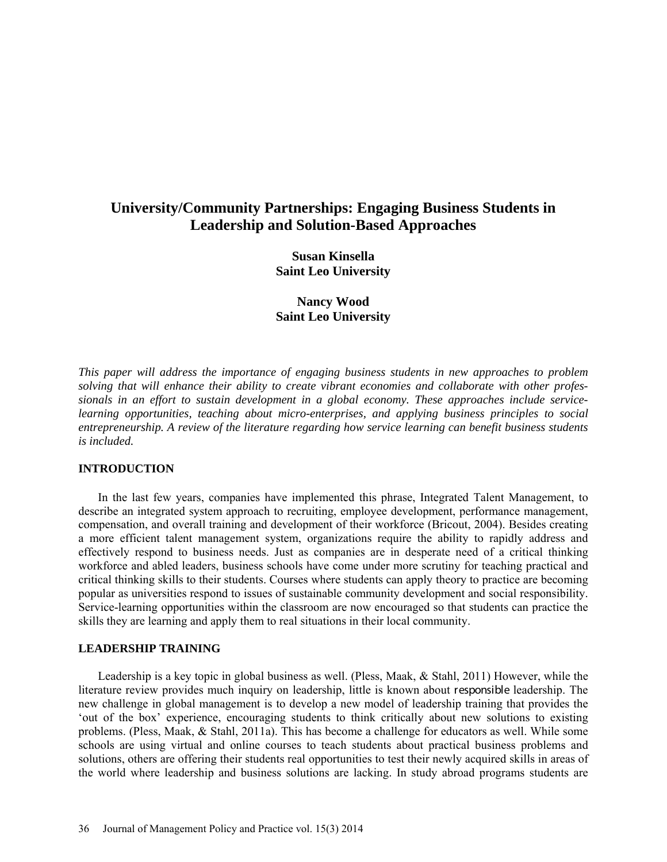# **University/Community Partnerships: Engaging Business Students in Leadership and Solution-Based Approaches**

**Susan Kinsella Saint Leo University**

**Nancy Wood Saint Leo University**

*This paper will address the importance of engaging business students in new approaches to problem solving that will enhance their ability to create vibrant economies and collaborate with other professionals in an effort to sustain development in a global economy. These approaches include servicelearning opportunities, teaching about micro-enterprises, and applying business principles to social entrepreneurship. A review of the literature regarding how service learning can benefit business students is included.*

### **INTRODUCTION**

In the last few years, companies have implemented this phrase, Integrated Talent Management, to describe an integrated system approach to recruiting, employee development, performance management, compensation, and overall training and development of their workforce (Bricout, 2004). Besides creating a more efficient talent management system, organizations require the ability to rapidly address and effectively respond to business needs. Just as companies are in desperate need of a critical thinking workforce and abled leaders, business schools have come under more scrutiny for teaching practical and critical thinking skills to their students. Courses where students can apply theory to practice are becoming popular as universities respond to issues of sustainable community development and social responsibility. Service-learning opportunities within the classroom are now encouraged so that students can practice the skills they are learning and apply them to real situations in their local community.

### **LEADERSHIP TRAINING**

Leadership is a key topic in global business as well. (Pless, Maak, & Stahl, 2011) However, while the literature review provides much inquiry on leadership, little is known about responsible leadership. The new challenge in global management is to develop a new model of leadership training that provides the 'out of the box' experience, encouraging students to think critically about new solutions to existing problems. (Pless, Maak, & Stahl, 2011a). This has become a challenge for educators as well. While some schools are using virtual and online courses to teach students about practical business problems and solutions, others are offering their students real opportunities to test their newly acquired skills in areas of the world where leadership and business solutions are lacking. In study abroad programs students are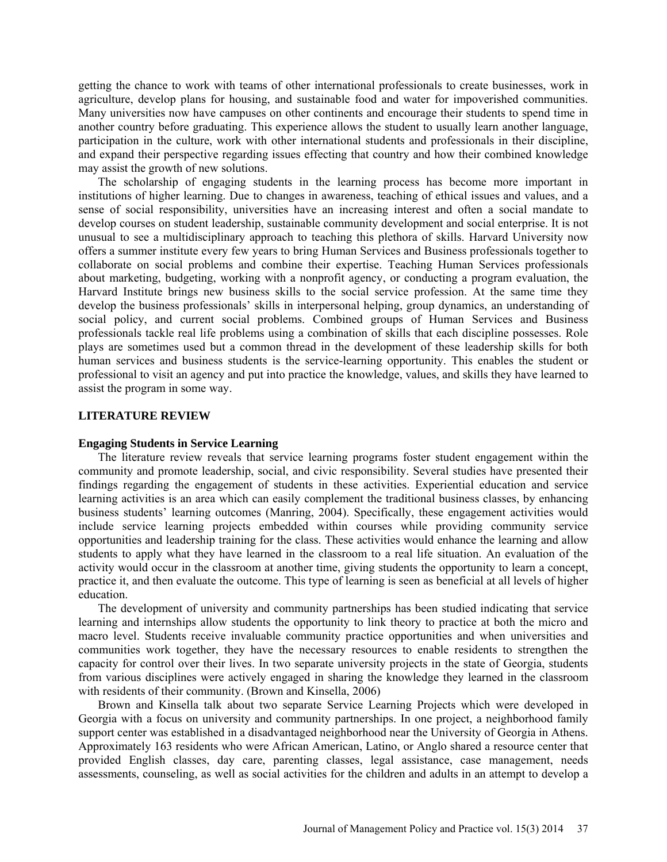getting the chance to work with teams of other international professionals to create businesses, work in agriculture, develop plans for housing, and sustainable food and water for impoverished communities. Many universities now have campuses on other continents and encourage their students to spend time in another country before graduating. This experience allows the student to usually learn another language, participation in the culture, work with other international students and professionals in their discipline, and expand their perspective regarding issues effecting that country and how their combined knowledge may assist the growth of new solutions.

The scholarship of engaging students in the learning process has become more important in institutions of higher learning. Due to changes in awareness, teaching of ethical issues and values, and a sense of social responsibility, universities have an increasing interest and often a social mandate to develop courses on student leadership, sustainable community development and social enterprise. It is not unusual to see a multidisciplinary approach to teaching this plethora of skills. Harvard University now offers a summer institute every few years to bring Human Services and Business professionals together to collaborate on social problems and combine their expertise. Teaching Human Services professionals about marketing, budgeting, working with a nonprofit agency, or conducting a program evaluation, the Harvard Institute brings new business skills to the social service profession. At the same time they develop the business professionals' skills in interpersonal helping, group dynamics, an understanding of social policy, and current social problems. Combined groups of Human Services and Business professionals tackle real life problems using a combination of skills that each discipline possesses. Role plays are sometimes used but a common thread in the development of these leadership skills for both human services and business students is the service-learning opportunity. This enables the student or professional to visit an agency and put into practice the knowledge, values, and skills they have learned to assist the program in some way.

#### **LITERATURE REVIEW**

# **Engaging Students in Service Learning**

The literature review reveals that service learning programs foster student engagement within the community and promote leadership, social, and civic responsibility. Several studies have presented their findings regarding the engagement of students in these activities. Experiential education and service learning activities is an area which can easily complement the traditional business classes, by enhancing business students' learning outcomes (Manring, 2004). Specifically, these engagement activities would include service learning projects embedded within courses while providing community service opportunities and leadership training for the class. These activities would enhance the learning and allow students to apply what they have learned in the classroom to a real life situation. An evaluation of the activity would occur in the classroom at another time, giving students the opportunity to learn a concept, practice it, and then evaluate the outcome. This type of learning is seen as beneficial at all levels of higher education.

The development of university and community partnerships has been studied indicating that service learning and internships allow students the opportunity to link theory to practice at both the micro and macro level. Students receive invaluable community practice opportunities and when universities and communities work together, they have the necessary resources to enable residents to strengthen the capacity for control over their lives. In two separate university projects in the state of Georgia, students from various disciplines were actively engaged in sharing the knowledge they learned in the classroom with residents of their community. (Brown and Kinsella, 2006)

Brown and Kinsella talk about two separate Service Learning Projects which were developed in Georgia with a focus on university and community partnerships. In one project, a neighborhood family support center was established in a disadvantaged neighborhood near the University of Georgia in Athens. Approximately 163 residents who were African American, Latino, or Anglo shared a resource center that provided English classes, day care, parenting classes, legal assistance, case management, needs assessments, counseling, as well as social activities for the children and adults in an attempt to develop a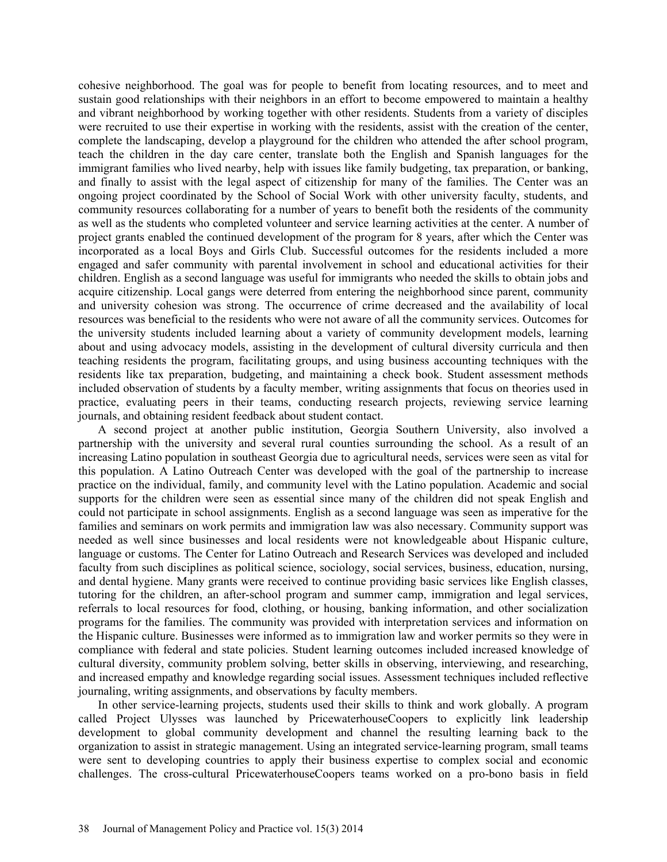cohesive neighborhood. The goal was for people to benefit from locating resources, and to meet and sustain good relationships with their neighbors in an effort to become empowered to maintain a healthy and vibrant neighborhood by working together with other residents. Students from a variety of disciples were recruited to use their expertise in working with the residents, assist with the creation of the center, complete the landscaping, develop a playground for the children who attended the after school program, teach the children in the day care center, translate both the English and Spanish languages for the immigrant families who lived nearby, help with issues like family budgeting, tax preparation, or banking, and finally to assist with the legal aspect of citizenship for many of the families. The Center was an ongoing project coordinated by the School of Social Work with other university faculty, students, and community resources collaborating for a number of years to benefit both the residents of the community as well as the students who completed volunteer and service learning activities at the center. A number of project grants enabled the continued development of the program for 8 years, after which the Center was incorporated as a local Boys and Girls Club. Successful outcomes for the residents included a more engaged and safer community with parental involvement in school and educational activities for their children. English as a second language was useful for immigrants who needed the skills to obtain jobs and acquire citizenship. Local gangs were deterred from entering the neighborhood since parent, community and university cohesion was strong. The occurrence of crime decreased and the availability of local resources was beneficial to the residents who were not aware of all the community services. Outcomes for the university students included learning about a variety of community development models, learning about and using advocacy models, assisting in the development of cultural diversity curricula and then teaching residents the program, facilitating groups, and using business accounting techniques with the residents like tax preparation, budgeting, and maintaining a check book. Student assessment methods included observation of students by a faculty member, writing assignments that focus on theories used in practice, evaluating peers in their teams, conducting research projects, reviewing service learning journals, and obtaining resident feedback about student contact.

A second project at another public institution, Georgia Southern University, also involved a partnership with the university and several rural counties surrounding the school. As a result of an increasing Latino population in southeast Georgia due to agricultural needs, services were seen as vital for this population. A Latino Outreach Center was developed with the goal of the partnership to increase practice on the individual, family, and community level with the Latino population. Academic and social supports for the children were seen as essential since many of the children did not speak English and could not participate in school assignments. English as a second language was seen as imperative for the families and seminars on work permits and immigration law was also necessary. Community support was needed as well since businesses and local residents were not knowledgeable about Hispanic culture, language or customs. The Center for Latino Outreach and Research Services was developed and included faculty from such disciplines as political science, sociology, social services, business, education, nursing, and dental hygiene. Many grants were received to continue providing basic services like English classes, tutoring for the children, an after-school program and summer camp, immigration and legal services, referrals to local resources for food, clothing, or housing, banking information, and other socialization programs for the families. The community was provided with interpretation services and information on the Hispanic culture. Businesses were informed as to immigration law and worker permits so they were in compliance with federal and state policies. Student learning outcomes included increased knowledge of cultural diversity, community problem solving, better skills in observing, interviewing, and researching, and increased empathy and knowledge regarding social issues. Assessment techniques included reflective journaling, writing assignments, and observations by faculty members.

In other service-learning projects, students used their skills to think and work globally. A program called Project Ulysses was launched by PricewaterhouseCoopers to explicitly link leadership development to global community development and channel the resulting learning back to the organization to assist in strategic management. Using an integrated service-learning program, small teams were sent to developing countries to apply their business expertise to complex social and economic challenges. The cross-cultural PricewaterhouseCoopers teams worked on a pro-bono basis in field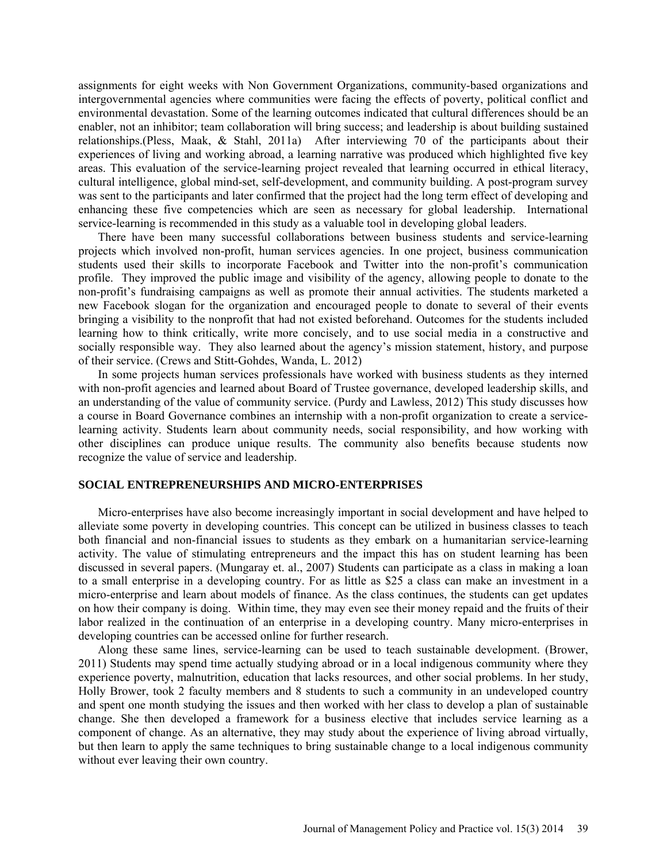assignments for eight weeks with Non Government Organizations, community-based organizations and intergovernmental agencies where communities were facing the effects of poverty, political conflict and environmental devastation. Some of the learning outcomes indicated that cultural differences should be an enabler, not an inhibitor; team collaboration will bring success; and leadership is about building sustained relationships.(Pless, Maak, & Stahl, 2011a) After interviewing 70 of the participants about their experiences of living and working abroad, a learning narrative was produced which highlighted five key areas. This evaluation of the service-learning project revealed that learning occurred in ethical literacy, cultural intelligence, global mind-set, self-development, and community building. A post-program survey was sent to the participants and later confirmed that the project had the long term effect of developing and enhancing these five competencies which are seen as necessary for global leadership. International service-learning is recommended in this study as a valuable tool in developing global leaders.

There have been many successful collaborations between business students and service-learning projects which involved non-profit, human services agencies. In one project, business communication students used their skills to incorporate Facebook and Twitter into the non-profit's communication profile. They improved the public image and visibility of the agency, allowing people to donate to the non-profit's fundraising campaigns as well as promote their annual activities. The students marketed a new Facebook slogan for the organization and encouraged people to donate to several of their events bringing a visibility to the nonprofit that had not existed beforehand. Outcomes for the students included learning how to think critically, write more concisely, and to use social media in a constructive and socially responsible way. They also learned about the agency's mission statement, history, and purpose of their service. (Crews and Stitt-Gohdes, Wanda, L. 2012)

In some projects human services professionals have worked with business students as they interned with non-profit agencies and learned about Board of Trustee governance, developed leadership skills, and an understanding of the value of community service. (Purdy and Lawless, 2012) This study discusses how a course in Board Governance combines an internship with a non-profit organization to create a servicelearning activity. Students learn about community needs, social responsibility, and how working with other disciplines can produce unique results. The community also benefits because students now recognize the value of service and leadership.

# **SOCIAL ENTREPRENEURSHIPS AND MICRO-ENTERPRISES**

Micro-enterprises have also become increasingly important in social development and have helped to alleviate some poverty in developing countries. This concept can be utilized in business classes to teach both financial and non-financial issues to students as they embark on a humanitarian service-learning activity. The value of stimulating entrepreneurs and the impact this has on student learning has been discussed in several papers. (Mungaray et. al., 2007) Students can participate as a class in making a loan to a small enterprise in a developing country. For as little as \$25 a class can make an investment in a micro-enterprise and learn about models of finance. As the class continues, the students can get updates on how their company is doing. Within time, they may even see their money repaid and the fruits of their labor realized in the continuation of an enterprise in a developing country. Many micro-enterprises in developing countries can be accessed online for further research.

Along these same lines, service-learning can be used to teach sustainable development. (Brower, 2011) Students may spend time actually studying abroad or in a local indigenous community where they experience poverty, malnutrition, education that lacks resources, and other social problems. In her study, Holly Brower, took 2 faculty members and 8 students to such a community in an undeveloped country and spent one month studying the issues and then worked with her class to develop a plan of sustainable change. She then developed a framework for a business elective that includes service learning as a component of change. As an alternative, they may study about the experience of living abroad virtually, but then learn to apply the same techniques to bring sustainable change to a local indigenous community without ever leaving their own country.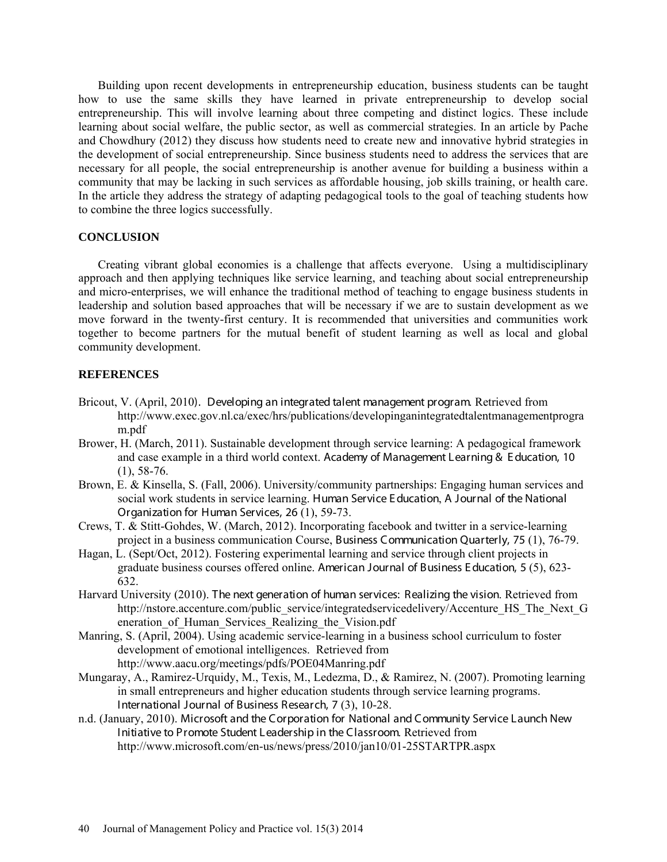Building upon recent developments in entrepreneurship education, business students can be taught how to use the same skills they have learned in private entrepreneurship to develop social entrepreneurship. This will involve learning about three competing and distinct logics. These include learning about social welfare, the public sector, as well as commercial strategies. In an article by Pache and Chowdhury (2012) they discuss how students need to create new and innovative hybrid strategies in the development of social entrepreneurship. Since business students need to address the services that are necessary for all people, the social entrepreneurship is another avenue for building a business within a community that may be lacking in such services as affordable housing, job skills training, or health care. In the article they address the strategy of adapting pedagogical tools to the goal of teaching students how to combine the three logics successfully.

### **CONCLUSION**

Creating vibrant global economies is a challenge that affects everyone. Using a multidisciplinary approach and then applying techniques like service learning, and teaching about social entrepreneurship and micro-enterprises, we will enhance the traditional method of teaching to engage business students in leadership and solution based approaches that will be necessary if we are to sustain development as we move forward in the twenty-first century. It is recommended that universities and communities work together to become partners for the mutual benefit of student learning as well as local and global community development.

# **REFERENCES**

- Bricout, V. (April, 2010). Developing an integrated talent management program. Retrieved from [http://www.exec.gov.nl.ca/exec/hrs/publications/developinganintegratedtalentmanagementprogra](http://livepage.apple.com/) m.pdf
- Brower, H. (March, 2011). Sustainable development through service learning: A pedagogical framework and case example in a third world context. Academy of Management Learning & E ducation, 10 (1), 58-76.
- Brown, E. & Kinsella, S. (Fall, 2006). University/community partnerships: Engaging human services and social work students in service learning. Human Service E ducation, A Journal of the National Organization for Human Services, 26 (1), 59-73.
- Crews, T. & Stitt-Gohdes, W. (March, 2012). Incorporating facebook and twitter in a service-learning project in a business communication Course, Business Communication Quarterly, 75 (1), 76-79.
- Hagan, L. (Sept/Oct, 2012). Fostering experimental learning and service through client projects in graduate business courses offered online. American Journal of Business E ducation, 5 (5), 623- 632.
- Harvard University (2010). The next generation of human services: Realizing the vision. Retrieved from [http://nstore.accenture.com/public\\_service/integratedservicedelivery/Accenture\\_HS\\_The\\_](http://nstore.accenture.com/public_service/integratedservicedelivery/Accenture_HS_The)Next\_G eneration of Human Services Realizing the Vision.pdf
- Manring, S. (April, 2004). Using academic service-learning in a business school curriculum to foster development of emotional intelligences. Retrieved from <http://www.aacu.org/meetings/pdfs/POE04Manring.pdf>
- Mungaray, A., Ramirez-Urquidy, M., Texis, M., Ledezma, D., & Ramirez, N. (2007). Promoting learning in small entrepreneurs and higher education students through service learning programs. International Journal of Business Research, 7 (3), 10-28.
- n.d. (January, 2010). Microsoft and the Corporation for National and Community Service Launch New Initiative to Promote Student Leadership in the Classroom. Retrieved from <http://www.microsoft.com/en-us/news/press/2010/jan10/01-25STARTPR.aspx>